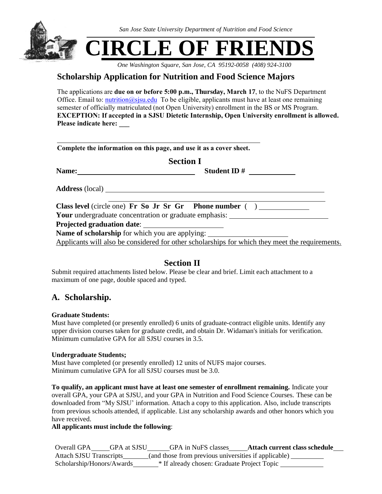

*One Washington Square, San Jose, CA 95192-0058 (408) 924-3100*

# **Scholarship Application for Nutrition and Food Science Majors**

The applications are **due on or before 5:00 p.m., Thursday, March 17**, to the NuFS Department Office. Email to: *nutrition@sjsu.edu* To be eligible, applicants must have at least one remaining semester of officially matriculated (not Open University) enrollment in the BS or MS Program. **EXCEPTION: If accepted in a SJSU Dietetic Internship, Open University enrollment is allowed. Please indicate here: \_\_\_**

|                  | Complete the information on this page, and use it as a cover sheet.                             |  |
|------------------|-------------------------------------------------------------------------------------------------|--|
| <b>Section I</b> |                                                                                                 |  |
|                  | Student ID $\#$                                                                                 |  |
|                  |                                                                                                 |  |
|                  |                                                                                                 |  |
|                  | <b>Your</b> undergraduate concentration or graduate emphasis:                                   |  |
|                  |                                                                                                 |  |
|                  | Name of scholarship for which you are applying:                                                 |  |
|                  | Applicants will also be considered for other scholarships for which they meet the requirements. |  |

### **Section II**

Submit required attachments listed below. Please be clear and brief. Limit each attachment to a maximum of one page, double spaced and typed.

## **A. Scholarship.**

#### **Graduate Students:**

Must have completed (or presently enrolled) 6 units of graduate-contract eligible units. Identify any upper division courses taken for graduate credit, and obtain Dr. Widaman's initials for verification. Minimum cumulative GPA for all SJSU courses in 3.5.

#### **Undergraduate Students;**

Must have completed (or presently enrolled) 12 units of NUFS major courses. Minimum cumulative GPA for all SJSU courses must be 3.0.

**To qualify, an applicant must have at least one semester of enrollment remaining.** Indicate your overall GPA, your GPA at SJSU, and your GPA in Nutrition and Food Science Courses. These can be downloaded from "My SJSU' information. Attach a copy to this application. Also, include transcripts from previous schools attended, if applicable. List any scholarship awards and other honors which you have received.

#### **All applicants must include the following**:

Overall GPA GPA at SJSU GPA in NuFS classes **Attach current class schedule** Attach SJSU Transcripts (and those from previous universities if applicable) Scholarship/Honors/Awards \* If already chosen: Graduate Project Topic